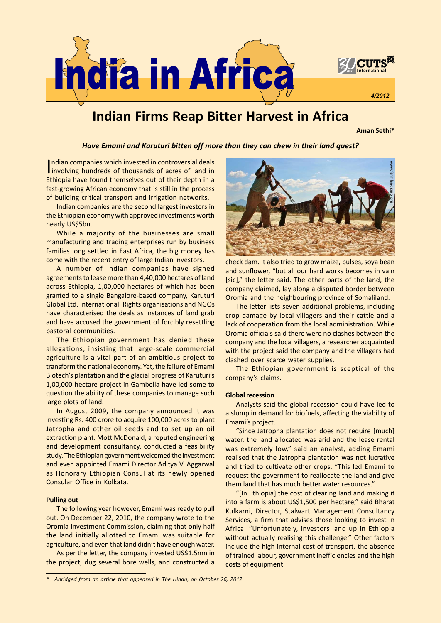

# Indian Firms Reap Bitter Harvest in Africa

Aman Sethi\*

### Have Emami and Karuturi bitten off more than they can chew in their land quest?

Indian companies which invested in controversial deals<br>I involving hundreds of thousands of acres of land in ndian companies which invested in controversial deals Ethiopia have found themselves out of their depth in a fast-growing African economy that is still in the process of building critical transport and irrigation networks.

Indian companies are the second largest investors in the Ethiopian economy with approved investments worth nearly US\$5bn.

While a majority of the businesses are small manufacturing and trading enterprises run by business families long settled in East Africa, the big money has come with the recent entry of large Indian investors.

A number of Indian companies have signed agreements to lease more than 4,40,000 hectares of land across Ethiopia, 1,00,000 hectares of which has been granted to a single Bangalore-based company, Karuturi Global Ltd. International. Rights organisations and NGOs have characterised the deals as instances of land grab and have accused the government of forcibly resettling pastoral communities.

The Ethiopian government has denied these allegations, insisting that large-scale commercial agriculture is a vital part of an ambitious project to transform the national economy. Yet, the failure of Emami Biotech's plantation and the glacial progress of Karuturi's 1,00,000-hectare project in Gambella have led some to question the ability of these companies to manage such large plots of land.

In August 2009, the company announced it was investing Rs. 400 crore to acquire 100,000 acres to plant Jatropha and other oil seeds and to set up an oil extraction plant. Mott McDonald, a reputed engineering and development consultancy, conducted a feasibility study. The Ethiopian government welcomed the investment and even appointed Emami Director Aditya V. Aggarwal as Honorary Ethiopian Consul at its newly opened Consular Office in Kolkata.

#### Pulling out

The following year however, Emami was ready to pull out. On December 22, 2010, the company wrote to the Oromia Investment Commission, claiming that only half the land initially allotted to Emami was suitable for agriculture, and even that land didn't have enough water.

As per the letter, the company invested US\$1.5mn in the project, dug several bore wells, and constructed a



check dam. It also tried to grow maize, pulses, soya bean and sunflower, "but all our hard works becomes in vain [sic]," the letter said. The other parts of the land, the company claimed, lay along a disputed border between Oromia and the neighbouring province of Somaliland.

The letter lists seven additional problems, including crop damage by local villagers and their cattle and a lack of cooperation from the local administration. While Oromia officials said there were no clashes between the company and the local villagers, a researcher acquainted with the project said the company and the villagers had clashed over scarce water supplies.

The Ethiopian government is sceptical of the company's claims.

#### Global recession

Analysts said the global recession could have led to a slump in demand for biofuels, affecting the viability of Emami's project.

"Since Jatropha plantation does not require [much] water, the land allocated was arid and the lease rental was extremely low," said an analyst, adding Emami realised that the Jatropha plantation was not lucrative and tried to cultivate other crops, "This led Emami to request the government to reallocate the land and give them land that has much better water resources."

"[In Ethiopia] the cost of clearing land and making it into a farm is about US\$1,500 per hectare," said Bharat Kulkarni, Director, Stalwart Management Consultancy Services, a firm that advises those looking to invest in Africa. "Unfortunately, investors land up in Ethiopia without actually realising this challenge." Other factors include the high internal cost of transport, the absence of trained labour, government inefficiencies and the high costs of equipment.

Abridged from an article that appeared in The Hindu, on October 26, 2012